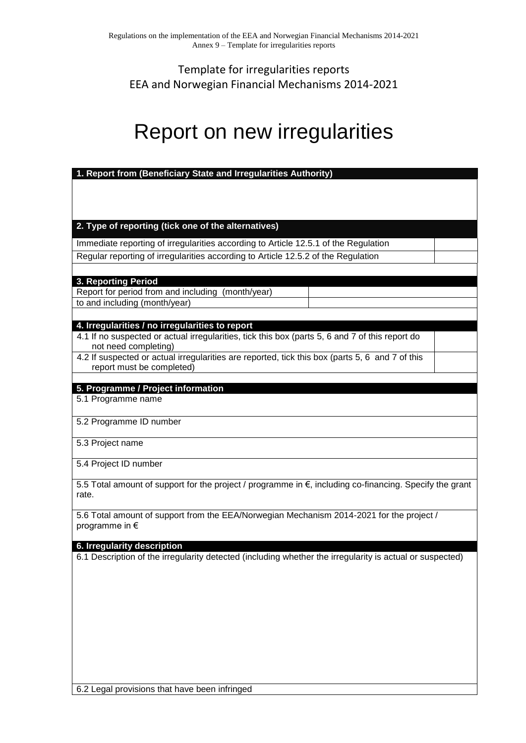## Template for irregularities reports EEA and Norwegian Financial Mechanisms 2014-2021

## Report on new irregularities

| 1. Report from (Beneficiary State and Irregularities Authority)                                                     |  |
|---------------------------------------------------------------------------------------------------------------------|--|
|                                                                                                                     |  |
|                                                                                                                     |  |
|                                                                                                                     |  |
| 2. Type of reporting (tick one of the alternatives)                                                                 |  |
| Immediate reporting of irregularities according to Article 12.5.1 of the Regulation                                 |  |
| Regular reporting of irregularities according to Article 12.5.2 of the Regulation                                   |  |
|                                                                                                                     |  |
| 3. Reporting Period                                                                                                 |  |
| Report for period from and including (month/year)                                                                   |  |
| to and including (month/year)                                                                                       |  |
| 4. Irregularities / no irregularities to report                                                                     |  |
| 4.1 If no suspected or actual irregularities, tick this box (parts 5, 6 and 7 of this report do                     |  |
| not need completing)                                                                                                |  |
| 4.2 If suspected or actual irregularities are reported, tick this box (parts 5, 6 and 7 of this                     |  |
| report must be completed)                                                                                           |  |
| 5. Programme / Project information                                                                                  |  |
| 5.1 Programme name                                                                                                  |  |
| 5.2 Programme ID number                                                                                             |  |
| 5.3 Project name                                                                                                    |  |
| 5.4 Project ID number                                                                                               |  |
| 5.5 Total amount of support for the project / programme in €, including co-financing. Specify the grant<br>rate.    |  |
| 5.6 Total amount of support from the EEA/Norwegian Mechanism 2014-2021 for the project /<br>programme in $\epsilon$ |  |
| 6. Irregularity description                                                                                         |  |
| 6.1 Description of the irregularity detected (including whether the irregularity is actual or suspected)            |  |
|                                                                                                                     |  |
|                                                                                                                     |  |
|                                                                                                                     |  |
|                                                                                                                     |  |
|                                                                                                                     |  |
|                                                                                                                     |  |
|                                                                                                                     |  |
|                                                                                                                     |  |
|                                                                                                                     |  |

6.2 Legal provisions that have been infringed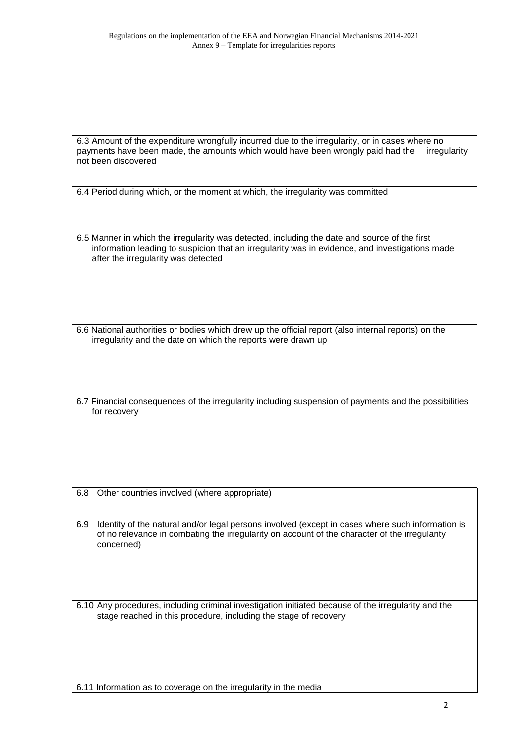| 6.3 Amount of the expenditure wrongfully incurred due to the irregularity, or in cases where no |  |  |  |  |
|-------------------------------------------------------------------------------------------------|--|--|--|--|
| payments have been made, the amounts which would have been wrongly paid had the irregularity    |  |  |  |  |
| not been discovered                                                                             |  |  |  |  |

6.4 Period during which, or the moment at which, the irregularity was committed

6.5 Manner in which the irregularity was detected, including the date and source of the first information leading to suspicion that an irregularity was in evidence, and investigations made after the irregularity was detected

6.6 National authorities or bodies which drew up the official report (also internal reports) on the irregularity and the date on which the reports were drawn up

6.7 Financial consequences of the irregularity including suspension of payments and the possibilities for recovery

6.8 Other countries involved (where appropriate)

6.9 Identity of the natural and/or legal persons involved (except in cases where such information is of no relevance in combating the irregularity on account of the character of the irregularity concerned)

6.10 Any procedures, including criminal investigation initiated because of the irregularity and the stage reached in this procedure, including the stage of recovery

6.11 Information as to coverage on the irregularity in the media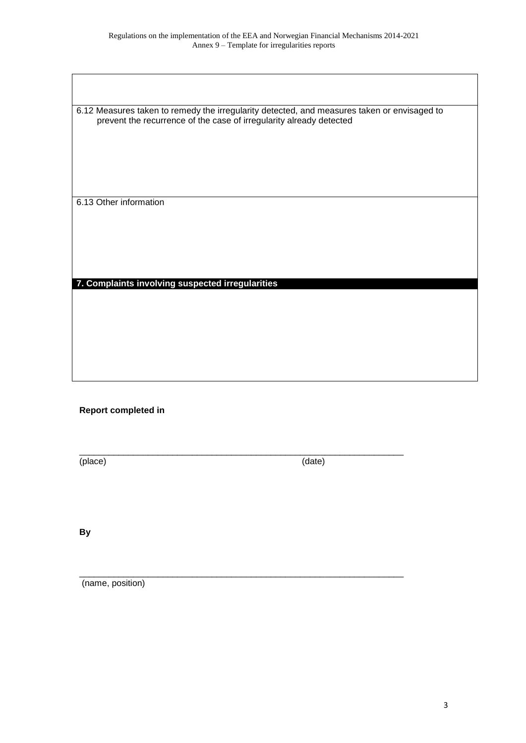6.12 Measures taken to remedy the irregularity detected, and measures taken or envisaged to prevent the recurrence of the case of irregularity already detected

6.13 Other information

**7. Complaints involving suspected irregularities**

## **Report completed in**

\_\_\_\_\_\_\_\_\_\_\_\_\_\_\_\_\_\_\_\_\_\_\_\_\_\_\_\_\_\_\_\_\_\_\_\_\_\_\_\_\_\_\_\_\_\_\_\_\_\_\_\_\_\_\_\_\_\_\_\_\_\_\_\_\_\_ (place) (date)

 $\_$  ,  $\_$  ,  $\_$  ,  $\_$  ,  $\_$  ,  $\_$  ,  $\_$  ,  $\_$  ,  $\_$  ,  $\_$  ,  $\_$  ,  $\_$  ,  $\_$  ,  $\_$  ,  $\_$  ,  $\_$  ,  $\_$  ,  $\_$  ,  $\_$ 

**By**

(name, position)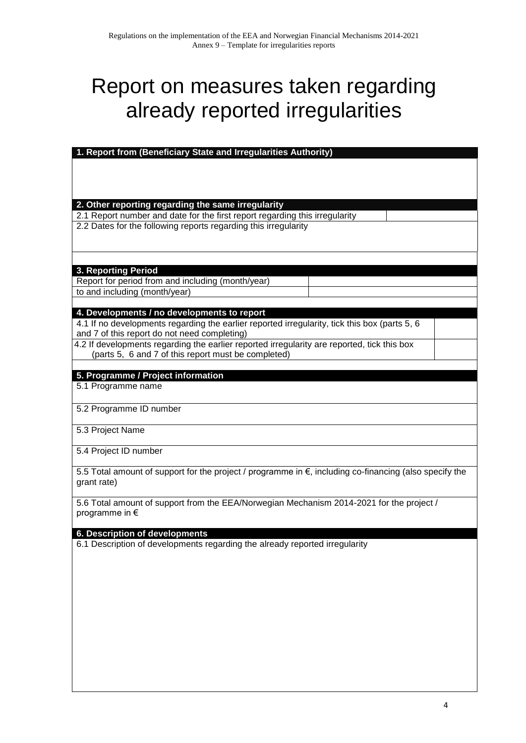## Report on measures taken regarding already reported irregularities

| 1. Report from (Beneficiary State and Irregularities Authority)                                        |
|--------------------------------------------------------------------------------------------------------|
|                                                                                                        |
|                                                                                                        |
|                                                                                                        |
|                                                                                                        |
| 2. Other reporting regarding the same irregularity                                                     |
| 2.1 Report number and date for the first report regarding this irregularity                            |
| 2.2 Dates for the following reports regarding this irregularity                                        |
|                                                                                                        |
|                                                                                                        |
|                                                                                                        |
| 3. Reporting Period                                                                                    |
|                                                                                                        |
| Report for period from and including (month/year)                                                      |
| to and including (month/year)                                                                          |
|                                                                                                        |
| 4. Developments / no developments to report                                                            |
| 4.1 If no developments regarding the earlier reported irregularity, tick this box (parts 5, 6          |
| and 7 of this report do not need completing)                                                           |
| 4.2 If developments regarding the earlier reported irregularity are reported, tick this box            |
| (parts 5, 6 and 7 of this report must be completed)                                                    |
|                                                                                                        |
| 5. Programme / Project information                                                                     |
| 5.1 Programme name                                                                                     |
|                                                                                                        |
| 5.2 Programme ID number                                                                                |
|                                                                                                        |
| 5.3 Project Name                                                                                       |
|                                                                                                        |
| 5.4 Project ID number                                                                                  |
|                                                                                                        |
| 5.5 Total amount of support for the project / programme in €, including co-financing (also specify the |
| grant rate)                                                                                            |
|                                                                                                        |
| 5.6 Total amount of support from the EEA/Norwegian Mechanism 2014-2021 for the project /               |
| programme in $\epsilon$                                                                                |
|                                                                                                        |
| <b>6. Description of developments</b>                                                                  |
| 6.1 Description of developments regarding the already reported irregularity                            |
|                                                                                                        |
|                                                                                                        |
|                                                                                                        |
|                                                                                                        |
|                                                                                                        |
|                                                                                                        |
|                                                                                                        |
|                                                                                                        |
|                                                                                                        |
|                                                                                                        |
|                                                                                                        |
|                                                                                                        |
|                                                                                                        |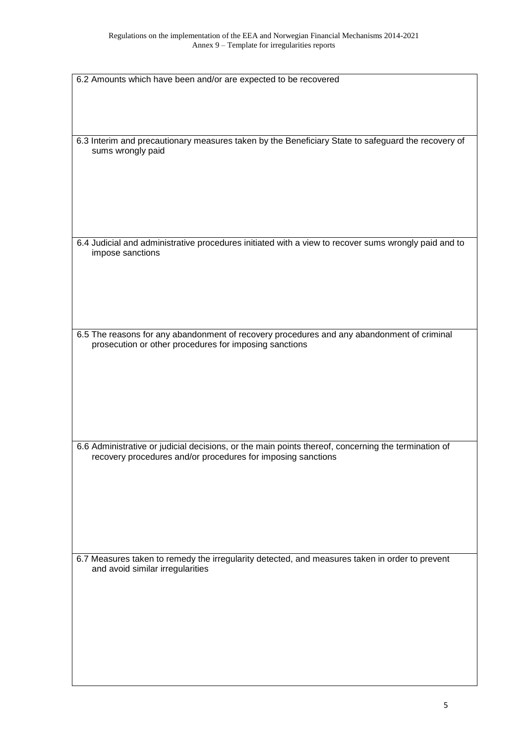| 6.2 Amounts which have been and/or are expected to be recovered                                      |
|------------------------------------------------------------------------------------------------------|
|                                                                                                      |
|                                                                                                      |
|                                                                                                      |
|                                                                                                      |
| 6.3 Interim and precautionary measures taken by the Beneficiary State to safeguard the recovery of   |
| sums wrongly paid                                                                                    |
|                                                                                                      |
|                                                                                                      |
|                                                                                                      |
|                                                                                                      |
|                                                                                                      |
|                                                                                                      |
| 6.4 Judicial and administrative procedures initiated with a view to recover sums wrongly paid and to |
| impose sanctions                                                                                     |
|                                                                                                      |
|                                                                                                      |
|                                                                                                      |
|                                                                                                      |
|                                                                                                      |
|                                                                                                      |
| 6.5 The reasons for any abandonment of recovery procedures and any abandonment of criminal           |
| prosecution or other procedures for imposing sanctions                                               |
|                                                                                                      |
|                                                                                                      |
|                                                                                                      |
|                                                                                                      |
|                                                                                                      |
|                                                                                                      |
|                                                                                                      |
| 6.6 Administrative or judicial decisions, or the main points thereof, concerning the termination of  |
| recovery procedures and/or procedures for imposing sanctions                                         |
|                                                                                                      |
|                                                                                                      |
|                                                                                                      |
|                                                                                                      |
|                                                                                                      |
|                                                                                                      |
|                                                                                                      |
| 6.7 Measures taken to remedy the irregularity detected, and measures taken in order to prevent       |
| and avoid similar irregularities                                                                     |
|                                                                                                      |
|                                                                                                      |
|                                                                                                      |
|                                                                                                      |
|                                                                                                      |
|                                                                                                      |
|                                                                                                      |
|                                                                                                      |
|                                                                                                      |